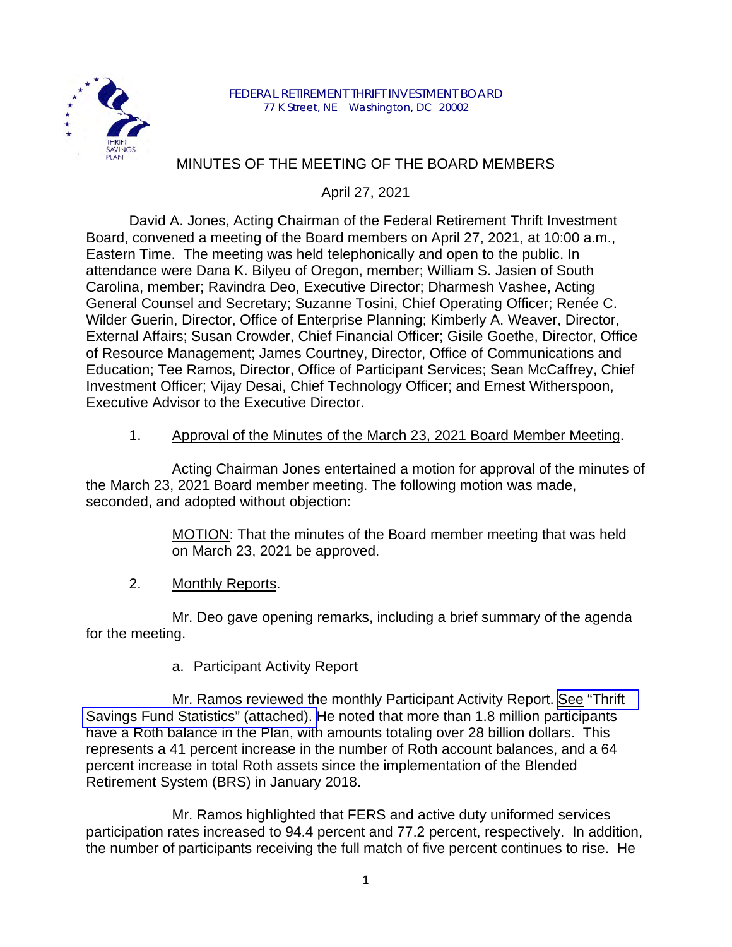

# MINUTES OF THE MEETING OF THE BOARD MEMBERS

April 27, 2021

David A. Jones, Acting Chairman of the Federal Retirement Thrift Investment Board, convened a meeting of the Board members on April 27, 2021, at 10:00 a.m., Eastern Time. The meeting was held telephonically and open to the public. In attendance were Dana K. Bilyeu of Oregon, member; William S. Jasien of South Carolina, member; Ravindra Deo, Executive Director; Dharmesh Vashee, Acting General Counsel and Secretary; Suzanne Tosini, Chief Operating Officer; Renée C. Wilder Guerin, Director, Office of Enterprise Planning; Kimberly A. Weaver, Director, External Affairs; Susan Crowder, Chief Financial Officer; Gisile Goethe, Director, Office of Resource Management; James Courtney, Director, Office of Communications and Education; Tee Ramos, Director, Office of Participant Services; Sean McCaffrey, Chief Investment Officer; Vijay Desai, Chief Technology Officer; and Ernest Witherspoon, Executive Advisor to the Executive Director.

## 1. Approval of the Minutes of the March 23, 2021 Board Member Meeting.

Acting Chairman Jones entertained a motion for approval of the minutes of the March 23, 2021 Board member meeting. The following motion was made, seconded, and adopted without objection:

> MOTION: That the minutes of the Board member meeting that was held on March 23, 2021 be approved.

2. Monthly Reports.

Mr. Deo gave opening remarks, including a brief summary of the agenda for the meeting.

a. Participant Activity Report

Mr. Ramos reviewed the monthly Participant Activity Report. See ["Thrift](https://www.frtib.gov/pdf/minutes/2021/April/MM-2021April-Att1.pdf)  [Savings Fund Statistics" \(attached\).](https://www.frtib.gov/pdf/minutes/2021/April/MM-2021April-Att1.pdf) He noted that more than 1.8 million participants have a Roth balance in the Plan, with amounts totaling over 28 billion dollars. This represents a 41 percent increase in the number of Roth account balances, and a 64 percent increase in total Roth assets since the implementation of the Blended Retirement System (BRS) in January 2018.

Mr. Ramos highlighted that FERS and active duty uniformed services participation rates increased to 94.4 percent and 77.2 percent, respectively. In addition, the number of participants receiving the full match of five percent continues to rise. He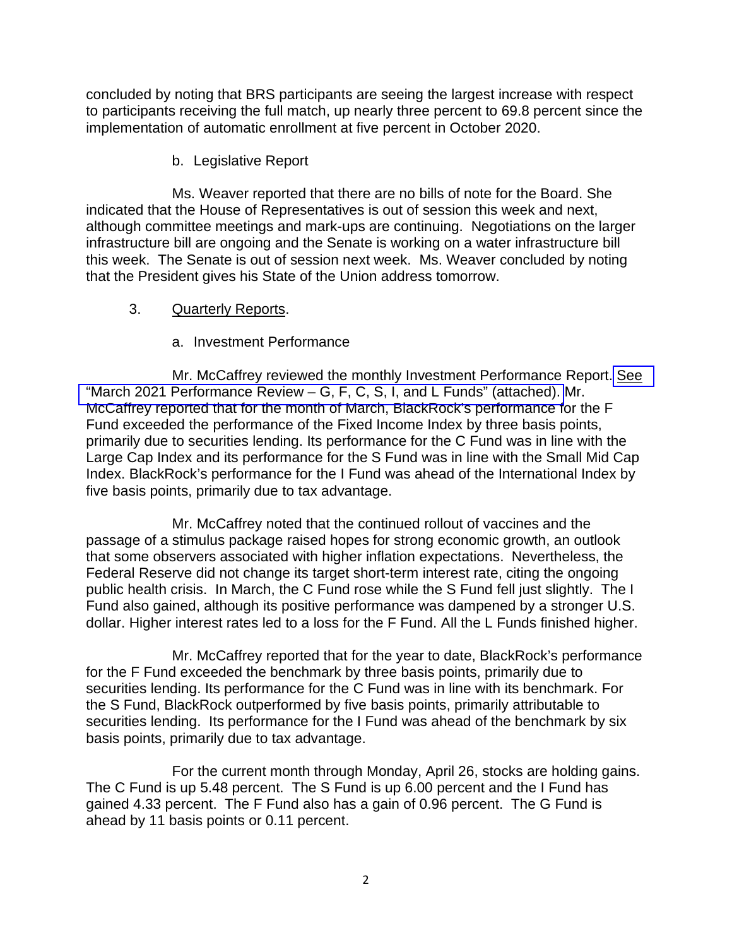concluded by noting that BRS participants are seeing the largest increase with respect to participants receiving the full match, up nearly three percent to 69.8 percent since the implementation of automatic enrollment at five percent in October 2020.

b. Legislative Report

Ms. Weaver reported that there are no bills of note for the Board. She indicated that the House of Representatives is out of session this week and next, although committee meetings and mark-ups are continuing. Negotiations on the larger infrastructure bill are ongoing and the Senate is working on a water infrastructure bill this week. The Senate is out of session next week. Ms. Weaver concluded by noting that the President gives his State of the Union address tomorrow.

- 3. Quarterly Reports.
	- a. Investment Performance

Mr. McCaffrey reviewed the monthly Investment Performance Report. [See](https://www.frtib.gov/pdf/minutes/2021/April/MM-2021April-Att2.pdf) "March 2021 [Performance Review – G, F, C, S, I, and L Funds" \(attached\).](https://www.frtib.gov/pdf/minutes/2021/April/MM-2021April-Att2.pdf) Mr. McCaffrey reported that for the month of March, BlackRock's performance for the F Fund exceeded the performance of the Fixed Income Index by three basis points, primarily due to securities lending. Its performance for the C Fund was in line with the Large Cap Index and its performance for the S Fund was in line with the Small Mid Cap Index. BlackRock's performance for the I Fund was ahead of the International Index by five basis points, primarily due to tax advantage.

Mr. McCaffrey noted that the continued rollout of vaccines and the passage of a stimulus package raised hopes for strong economic growth, an outlook that some observers associated with higher inflation expectations. Nevertheless, the Federal Reserve did not change its target short-term interest rate, citing the ongoing public health crisis. In March, the C Fund rose while the S Fund fell just slightly. The I Fund also gained, although its positive performance was dampened by a stronger U.S. dollar. Higher interest rates led to a loss for the F Fund. All the L Funds finished higher.

 Mr. McCaffrey reported that for the year to date, BlackRock's performance for the F Fund exceeded the benchmark by three basis points, primarily due to securities lending. Its performance for the C Fund was in line with its benchmark. For the S Fund, BlackRock outperformed by five basis points, primarily attributable to securities lending. Its performance for the I Fund was ahead of the benchmark by six basis points, primarily due to tax advantage.

For the current month through Monday, April 26, stocks are holding gains. The C Fund is up 5.48 percent. The S Fund is up 6.00 percent and the I Fund has gained 4.33 percent. The F Fund also has a gain of 0.96 percent. The G Fund is ahead by 11 basis points or 0.11 percent.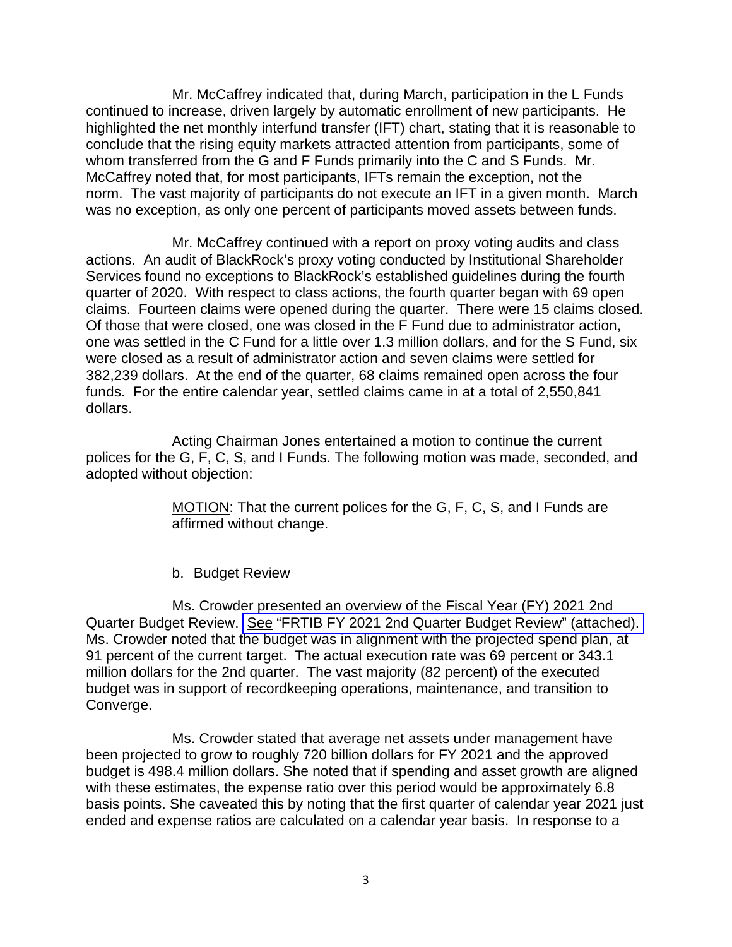Mr. McCaffrey indicated that, during March, participation in the L Funds continued to increase, driven largely by automatic enrollment of new participants. He highlighted the net monthly interfund transfer (IFT) chart, stating that it is reasonable to conclude that the rising equity markets attracted attention from participants, some of whom transferred from the G and F Funds primarily into the C and S Funds. Mr. McCaffrey noted that, for most participants, IFTs remain the exception, not the norm. The vast majority of participants do not execute an IFT in a given month. March was no exception, as only one percent of participants moved assets between funds.

 Mr. McCaffrey continued with a report on proxy voting audits and class actions. An audit of BlackRock's proxy voting conducted by Institutional Shareholder Services found no exceptions to BlackRock's established guidelines during the fourth quarter of 2020. With respect to class actions, the fourth quarter began with 69 open claims. Fourteen claims were opened during the quarter. There were 15 claims closed. Of those that were closed, one was closed in the F Fund due to administrator action, one was settled in the C Fund for a little over 1.3 million dollars, and for the S Fund, six were closed as a result of administrator action and seven claims were settled for 382,239 dollars. At the end of the quarter, 68 claims remained open across the four funds. For the entire calendar year, settled claims came in at a total of 2,550,841 dollars.

Acting Chairman Jones entertained a motion to continue the current polices for the G, F, C, S, and I Funds. The following motion was made, seconded, and adopted without objection:

> MOTION: That the current polices for the G, F, C, S, and I Funds are affirmed without change.

#### b. Budget Review

Ms. Crowder presented an overview of the Fiscal Year (FY) 2021 2nd Quarter Budget Review. See "FRTIB FY 2021 [2nd Quarter Budget Review" \(attached\).](https://www.frtib.gov/pdf/minutes/2021/April/MM-2021April-Att3.pdf)  Ms. Crowder noted that the budget was in alignment with the projected spend plan, at 91 percent of the current target. The actual execution rate was 69 percent or 343.1 million dollars for the 2nd quarter. The vast majority (82 percent) of the executed budget was in support of recordkeeping operations, maintenance, and transition to Converge.

Ms. Crowder stated that average net assets under management have been projected to grow to roughly 720 billion dollars for FY 2021 and the approved budget is 498.4 million dollars. She noted that if spending and asset growth are aligned with these estimates, the expense ratio over this period would be approximately 6.8 basis points. She caveated this by noting that the first quarter of calendar year 2021 just ended and expense ratios are calculated on a calendar year basis. In response to a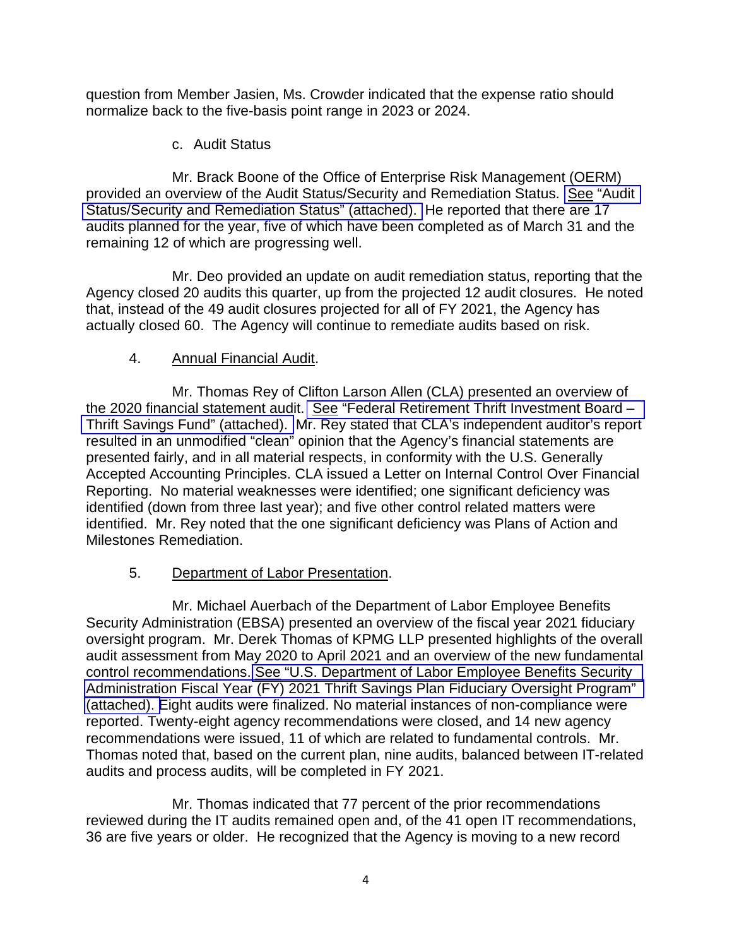question from Member Jasien, Ms. Crowder indicated that the expense ratio should normalize back to the five-basis point range in 2023 or 2024.

c. Audit Status

Mr. Brack Boone of the Office of Enterprise Risk Management (OERM) provided an overview of the Audit Status/Security and Remediation Status. See ["Audit](https://www.frtib.gov/pdf/minutes/2021/April/MM-2021April-Att4.pdf)  Status/Security [and Remediation Status" \(attached\).](https://www.frtib.gov/pdf/minutes/2021/April/MM-2021April-Att4.pdf) He reported that there are 17 audits planned for the year, five of which have been completed as of March 31 and the remaining 12 of which are progressing well.

Mr. Deo provided an update on audit remediation status, reporting that the Agency closed 20 audits this quarter, up from the projected 12 audit closures. He noted that, instead of the 49 audit closures projected for all of FY 2021, the Agency has actually closed 60. The Agency will continue to remediate audits based on risk.

## 4. Annual Financial Audit.

Mr. Thomas Rey of Clifton Larson Allen (CLA) presented an overview of the 2020 financial statement audit. See ["Federal Retirement Thrift Investment Board –](https://www.frtib.gov/pdf/minutes/2021/April/MM-2021April-Att5.pdf)  Thrift [Savings Fund" \(attached\).](https://www.frtib.gov/pdf/minutes/2021/April/MM-2021April-Att5.pdf) Mr. Rey stated that CLA's independent auditor's report resulted in an unmodified "clean" opinion that the Agency's financial statements are presented fairly, and in all material respects, in conformity with the U.S. Generally Accepted Accounting Principles. CLA issued a Letter on Internal Control Over Financial Reporting. No material weaknesses were identified; one significant deficiency was identified (down from three last year); and five other control related matters were identified. Mr. Rey noted that the one significant deficiency was Plans of Action and Milestones Remediation.

## 5. Department of Labor Presentation.

Mr. Michael Auerbach of the Department of Labor Employee Benefits Security Administration (EBSA) presented an overview of the fiscal year 2021 fiduciary oversight program. Mr. Derek Thomas of KPMG LLP presented highlights of the overall audit assessment from May 2020 to April 2021 and an overview of the new fundamental control recommendations. [See "U.S. Department of Labor Employee Benefits Security](https://www.frtib.gov/pdf/minutes/2021/April/MM-2021April-Att6.pdf)  Administration Fiscal Year (FY) 2021 Thrift Savings Plan Fiduciary Oversight Program" [\(attached\). E](https://www.frtib.gov/pdf/minutes/2021/April/MM-2021April-Att6.pdf)ight audits were finalized. No material instances of non-compliance were reported. Twenty-eight agency recommendations were closed, and 14 new agency recommendations were issued, 11 of which are related to fundamental controls. Mr. Thomas noted that, based on the current plan, nine audits, balanced between IT-related audits and process audits, will be completed in FY 2021.

Mr. Thomas indicated that 77 percent of the prior recommendations reviewed during the IT audits remained open and, of the 41 open IT recommendations, 36 are five years or older. He recognized that the Agency is moving to a new record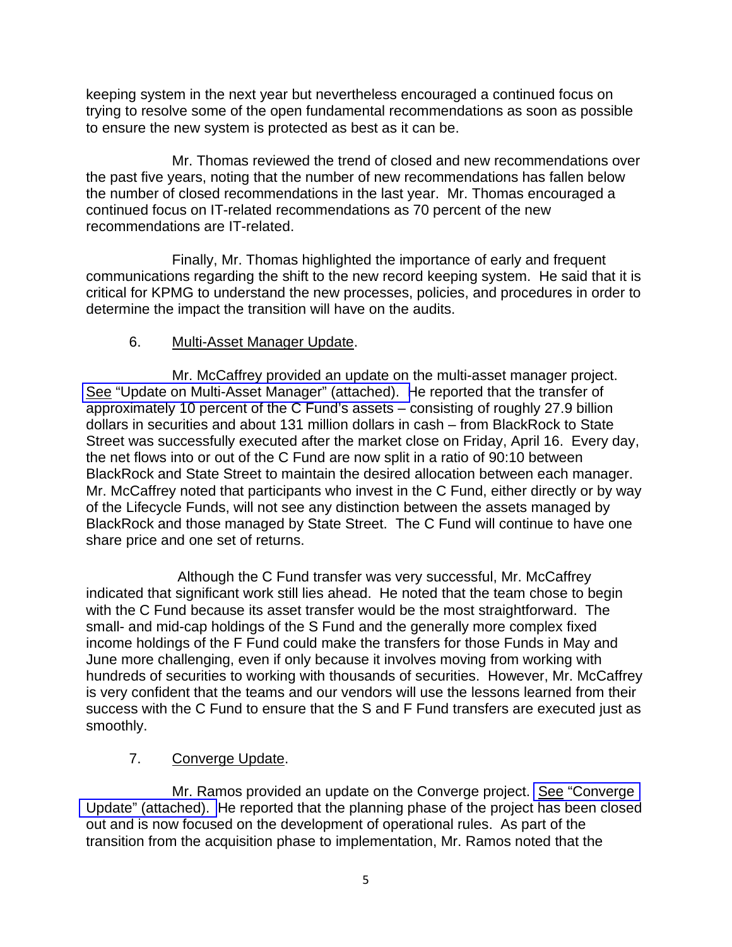keeping system in the next year but nevertheless encouraged a continued focus on trying to resolve some of the open fundamental recommendations as soon as possible to ensure the new system is protected as best as it can be.

Mr. Thomas reviewed the trend of closed and new recommendations over the past five years, noting that the number of new recommendations has fallen below the number of closed recommendations in the last year. Mr. Thomas encouraged a continued focus on IT-related recommendations as 70 percent of the new recommendations are IT-related.

Finally, Mr. Thomas highlighted the importance of early and frequent communications regarding the shift to the new record keeping system. He said that it is critical for KPMG to understand the new processes, policies, and procedures in order to determine the impact the transition will have on the audits.

## 6. Multi-Asset Manager Update.

Mr. McCaffrey provided an update on the multi-asset manager project. See ["Update on Multi-Asset Manager" \(attached\). H](https://www.frtib.gov/pdf/minutes/2021/April/MM-2021April-Att7.pdf)e reported that the transfer of approximately 10 percent of the C Fund's assets – consisting of roughly 27.9 billion dollars in securities and about 131 million dollars in cash – from BlackRock to State Street was successfully executed after the market close on Friday, April 16. Every day, the net flows into or out of the C Fund are now split in a ratio of 90:10 between BlackRock and State Street to maintain the desired allocation between each manager. Mr. McCaffrey noted that participants who invest in the C Fund, either directly or by way of the Lifecycle Funds, will not see any distinction between the assets managed by BlackRock and those managed by State Street. The C Fund will continue to have one share price and one set of returns.

Although the C Fund transfer was very successful, Mr. McCaffrey indicated that significant work still lies ahead. He noted that the team chose to begin with the C Fund because its asset transfer would be the most straightforward. The small- and mid-cap holdings of the S Fund and the generally more complex fixed income holdings of the F Fund could make the transfers for those Funds in May and June more challenging, even if only because it involves moving from working with hundreds of securities to working with thousands of securities. However, Mr. McCaffrey is very confident that the teams and our vendors will use the lessons learned from their success with the C Fund to ensure that the S and F Fund transfers are executed just as smoothly.

## 7. Converge Update.

Mr. Ramos provided an update on the Converge project. See "Converge" [Update" \(attached\).](https://www.frtib.gov/pdf/minutes/2021/April/MM-2021April-Att8.pdf) He reported that the planning phase of the project has been closed out and is now focused on the development of operational rules. As part of the transition from the acquisition phase to implementation, Mr. Ramos noted that the